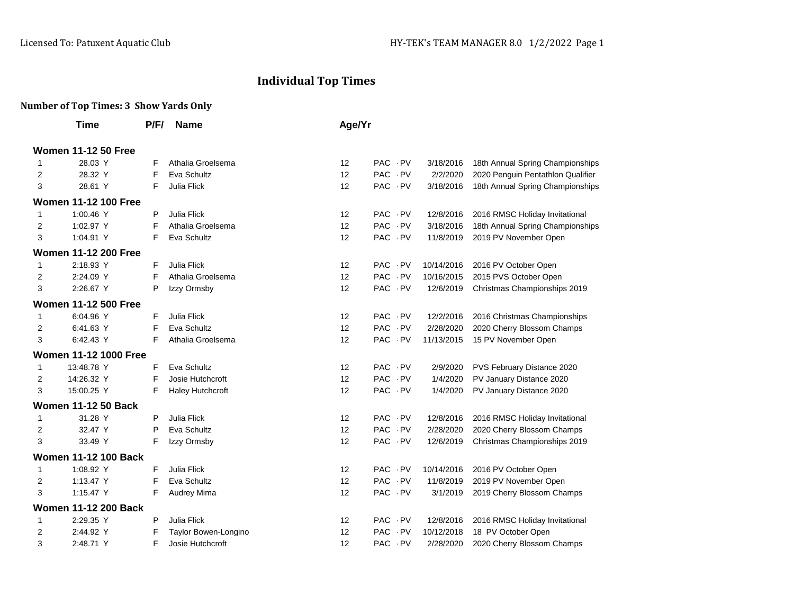## **Individual Top Times**

## **Number of Top Times: 3 Show Yards Only**

|                            | <b>Time</b>                  | P/F/ | <b>Name</b>          | Age/Yr |            |            |            |                                   |  |
|----------------------------|------------------------------|------|----------------------|--------|------------|------------|------------|-----------------------------------|--|
| <b>Women 11-12 50 Free</b> |                              |      |                      |        |            |            |            |                                   |  |
| 1                          | 28.03 Y                      | F    | Athalia Groelsema    | 12     | PAC PV     |            | 3/18/2016  | 18th Annual Spring Championships  |  |
| 2                          | 28.32 Y                      | F    | Eva Schultz          | 12     | PAC PV     |            | 2/2/2020   | 2020 Penguin Pentathlon Qualifier |  |
| 3                          | 28.61 Y                      | F    | <b>Julia Flick</b>   | 12     | PAC PV     |            | 3/18/2016  | 18th Annual Spring Championships  |  |
|                            | <b>Women 11-12 100 Free</b>  |      |                      |        |            |            |            |                                   |  |
| 1                          | 1:00.46 Y                    | P    | Julia Flick          | 12     | PAC PV     |            | 12/8/2016  | 2016 RMSC Holiday Invitational    |  |
| 2                          | 1:02.97 Y                    | F    | Athalia Groelsema    | 12     | PAC PV     |            | 3/18/2016  | 18th Annual Spring Championships  |  |
| 3                          | 1:04.91 Y                    | F    | Eva Schultz          | 12     | PAC PV     |            | 11/8/2019  | 2019 PV November Open             |  |
|                            | <b>Women 11-12 200 Free</b>  |      |                      |        |            |            |            |                                   |  |
| 1                          | 2:18.93 Y                    | F    | <b>Julia Flick</b>   | 12     | <b>PAC</b> | - PV       | 10/14/2016 | 2016 PV October Open              |  |
| 2                          | 2:24.09 Y                    | F    | Athalia Groelsema    | 12     | <b>PAC</b> | - PV       | 10/16/2015 | 2015 PVS October Open             |  |
| 3                          | 2:26.67 Y                    | P    | Izzy Ormsby          | 12     | <b>PAC</b> | $\cdot$ PV | 12/6/2019  | Christmas Championships 2019      |  |
|                            | <b>Women 11-12 500 Free</b>  |      |                      |        |            |            |            |                                   |  |
| 1                          | 6:04.96 Y                    | F    | Julia Flick          | 12     | <b>PAC</b> | - PV       | 12/2/2016  | 2016 Christmas Championships      |  |
| 2                          | 6:41.63 Y                    | F    | Eva Schultz          | 12     | <b>PAC</b> | - PV       | 2/28/2020  | 2020 Cherry Blossom Champs        |  |
| 3                          | 6:42.43 Y                    | F    | Athalia Groelsema    | 12     | <b>PAC</b> | . PV       | 11/13/2015 | 15 PV November Open               |  |
|                            | <b>Women 11-12 1000 Free</b> |      |                      |        |            |            |            |                                   |  |
| 1                          | 13:48.78 Y                   | F    | Eva Schultz          | 12     | <b>PAC</b> | - PV       | 2/9/2020   | PVS February Distance 2020        |  |
| 2                          | 14:26.32 Y                   | F    | Josie Hutchcroft     | 12     | PAC PV     |            | 1/4/2020   | PV January Distance 2020          |  |
| 3                          | 15:00.25 Y                   | F    | Haley Hutchcroft     | 12     | PAC PV     |            | 1/4/2020   | PV January Distance 2020          |  |
|                            | <b>Women 11-12 50 Back</b>   |      |                      |        |            |            |            |                                   |  |
| 1                          | 31.28 Y                      | P    | <b>Julia Flick</b>   | 12     | <b>PAC</b> | $\cdot$ PV | 12/8/2016  | 2016 RMSC Holiday Invitational    |  |
| 2                          | 32.47 Y                      | P    | Eva Schultz          | 12     | PAC PV     |            | 2/28/2020  | 2020 Cherry Blossom Champs        |  |
| 3                          | 33.49 Y                      | F    | Izzy Ormsby          | 12     | <b>PAC</b> | $\cdot$ PV | 12/6/2019  | Christmas Championships 2019      |  |
|                            | <b>Women 11-12 100 Back</b>  |      |                      |        |            |            |            |                                   |  |
| 1                          | 1:08.92 Y                    | F    | <b>Julia Flick</b>   | 12     | <b>PAC</b> | - PV       | 10/14/2016 | 2016 PV October Open              |  |
| 2                          | 1:13.47 Y                    | F    | Eva Schultz          | 12     | <b>PAC</b> | $\cdot$ PV | 11/8/2019  | 2019 PV November Open             |  |
| 3                          | 1:15.47 Y                    | F    | Audrey Mima          | 12     | PAC PV     |            | 3/1/2019   | 2019 Cherry Blossom Champs        |  |
|                            | <b>Women 11-12 200 Back</b>  |      |                      |        |            |            |            |                                   |  |
| 1                          | 2:29.35 Y                    | P    | <b>Julia Flick</b>   | 12     | <b>PAC</b> | - PV       | 12/8/2016  | 2016 RMSC Holiday Invitational    |  |
| 2                          | 2:44.92 Y                    | F    | Taylor Bowen-Longino | 12     | <b>PAC</b> | $\cdot$ PV | 10/12/2018 | 18 PV October Open                |  |
| 3                          | 2:48.71 Y                    | F    | Josie Hutchcroft     | 12     | <b>PAC</b> | . PV       | 2/28/2020  | 2020 Cherry Blossom Champs        |  |